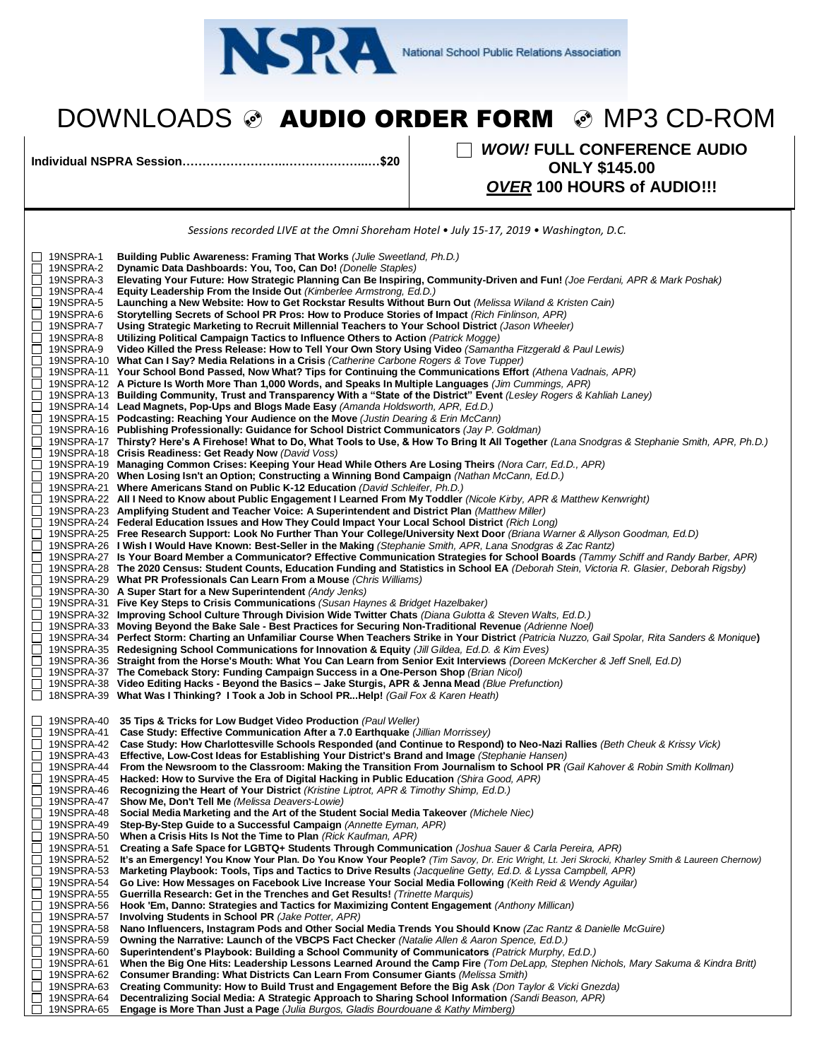

## DOWNLOADS & AUDIO ORDER FORM & MP3 CD-ROM

**Individual NSPRA Session……………………..………………...…\$20** *WOW!* **FULL CONFERENCE AUDIO ONLY \$145.00** *OVER* **100 HOURS of AUDIO!!!**

|                          | Sessions recorded LIVE at the Omni Shoreham Hotel • July 15-17, 2019 • Washington, D.C.                                                                                                                                                                                                     |
|--------------------------|---------------------------------------------------------------------------------------------------------------------------------------------------------------------------------------------------------------------------------------------------------------------------------------------|
|                          |                                                                                                                                                                                                                                                                                             |
| 19NSPRA-1<br>19NSPRA-2   | Building Public Awareness: Framing That Works (Julie Sweetland, Ph.D.)<br>Dynamic Data Dashboards: You, Too, Can Do! (Donelle Staples)                                                                                                                                                      |
| 19NSPRA-3                | Elevating Your Future: How Strategic Planning Can Be Inspiring, Community-Driven and Fun! (Joe Ferdani, APR & Mark Poshak)                                                                                                                                                                  |
| 19NSPRA-4                | Equity Leadership From the Inside Out (Kimberlee Armstrong, Ed.D.)                                                                                                                                                                                                                          |
| 19NSPRA-5                | Launching a New Website: How to Get Rockstar Results Without Burn Out (Melissa Wiland & Kristen Cain)                                                                                                                                                                                       |
| 19NSPRA-6<br>19NSPRA-7   | Storytelling Secrets of School PR Pros: How to Produce Stories of Impact (Rich Finlinson, APR)<br>Using Strategic Marketing to Recruit Millennial Teachers to Your School District (Jason Wheeler)                                                                                          |
| 19NSPRA-8                | Utilizing Political Campaign Tactics to Influence Others to Action (Patrick Mogge)                                                                                                                                                                                                          |
| 19NSPRA-9                | Video Killed the Press Release: How to Tell Your Own Story Using Video (Samantha Fitzgerald & Paul Lewis)                                                                                                                                                                                   |
|                          | 19NSPRA-10 What Can I Say? Media Relations in a Crisis (Catherine Carbone Rogers & Tove Tupper)                                                                                                                                                                                             |
|                          | 19NSPRA-11 Your School Bond Passed, Now What? Tips for Continuing the Communications Effort (Athena Vadnais, APR)<br>19NSPRA-12 A Picture Is Worth More Than 1,000 Words, and Speaks In Multiple Languages (Jim Cummings, APR)                                                              |
|                          | 19NSPRA-13 Building Community, Trust and Transparency With a "State of the District" Event (Lesley Rogers & Kahliah Laney)                                                                                                                                                                  |
|                          | 19NSPRA-14 Lead Magnets, Pop-Ups and Blogs Made Easy (Amanda Holdsworth, APR, Ed.D.)                                                                                                                                                                                                        |
|                          | 19NSPRA-15 Podcasting: Reaching Your Audience on the Move (Justin Dearing & Erin McCann)                                                                                                                                                                                                    |
|                          | 19NSPRA-16 Publishing Professionally: Guidance for School District Communicators (Jay P. Goldman)<br>19NSPRA-17 Thirsty? Here's A Firehose! What to Do, What Tools to Use, & How To Bring It All Together (Lana Snodgras & Stephanie Smith, APR, Ph.D.)                                     |
|                          | 19NSPRA-18 Crisis Readiness: Get Ready Now (David Voss)                                                                                                                                                                                                                                     |
|                          | 19NSPRA-19 Managing Common Crises: Keeping Your Head While Others Are Losing Theirs (Nora Carr, Ed.D., APR)                                                                                                                                                                                 |
|                          | 19NSPRA-20 When Losing Isn't an Option; Constructing a Winning Bond Campaign (Nathan McCann, Ed.D.)                                                                                                                                                                                         |
|                          | 19NSPRA-21 Where Americans Stand on Public K-12 Education (David Schleifer, Ph.D.)                                                                                                                                                                                                          |
|                          | 19NSPRA-22 All I Need to Know about Public Engagement I Learned From My Toddler (Nicole Kirby, APR & Matthew Kenwright)<br>19NSPRA-23 Amplifying Student and Teacher Voice: A Superintendent and District Plan (Matthew Miller)                                                             |
|                          | 19NSPRA-24 Federal Education Issues and How They Could Impact Your Local School District (Rich Long)                                                                                                                                                                                        |
|                          | 19NSPRA-25 Free Research Support: Look No Further Than Your College/University Next Door (Briana Warner & Allyson Goodman, Ed.D)                                                                                                                                                            |
|                          | 19NSPRA-26 I Wish I Would Have Known: Best-Seller in the Making (Stephanie Smith, APR, Lana Snodgras & Zac Rantz)                                                                                                                                                                           |
|                          | 19NSPRA-27 Is Your Board Member a Communicator? Effective Communication Strategies for School Boards (Tammy Schiff and Randy Barber, APR)<br>19NSPRA-28 The 2020 Census: Student Counts, Education Funding and Statistics in School EA (Deborah Stein, Victoria R. Glasier, Deborah Rigsby) |
|                          | 19NSPRA-29 What PR Professionals Can Learn From a Mouse (Chris Williams)                                                                                                                                                                                                                    |
|                          | 19NSPRA-30 A Super Start for a New Superintendent (Andy Jenks)                                                                                                                                                                                                                              |
|                          | 19NSPRA-31 Five Key Steps to Crisis Communications (Susan Haynes & Bridget Hazelbaker)                                                                                                                                                                                                      |
|                          | 19NSPRA-32 Improving School Culture Through Division Wide Twitter Chats (Diana Gulotta & Steven Walts, Ed.D.)<br>19NSPRA-33 Moving Beyond the Bake Sale - Best Practices for Securing Non-Traditional Revenue (Adrienne Noel)                                                               |
|                          | 19NSPRA-34 Perfect Storm: Charting an Unfamiliar Course When Teachers Strike in Your District (Patricia Nuzzo, Gail Spolar, Rita Sanders & Monique)                                                                                                                                         |
|                          | 19NSPRA-35 Redesigning School Communications for Innovation & Equity (Jill Gildea, Ed.D. & Kim Eves)                                                                                                                                                                                        |
|                          | 19NSPRA-36 Straight from the Horse's Mouth: What You Can Learn from Senior Exit Interviews (Doreen McKercher & Jeff Snell, Ed.D)                                                                                                                                                            |
| 19NSPRA-38               | 19NSPRA-37 The Comeback Story: Funding Campaign Success in a One-Person Shop (Brian Nicol)<br>Video Editing Hacks - Beyond the Basics - Jake Sturgis, APR & Jenna Mead (Blue Prefunction)                                                                                                   |
|                          | 18NSPRA-39 What Was I Thinking? I Took a Job in School PRHelp! (Gail Fox & Karen Heath)                                                                                                                                                                                                     |
|                          |                                                                                                                                                                                                                                                                                             |
| 19NSPRA-40<br>19NSPRA-41 | 35 Tips & Tricks for Low Budget Video Production (Paul Weller)<br>Case Study: Effective Communication After a 7.0 Earthquake (Jillian Morrissey)                                                                                                                                            |
| 19NSPRA-42               | Case Study: How Charlottesville Schools Responded (and Continue to Respond) to Neo-Nazi Rallies (Beth Cheuk & Krissy Vick)                                                                                                                                                                  |
| 19NSPRA-43               | Effective, Low-Cost Ideas for Establishing Your District's Brand and Image (Stephanie Hansen)                                                                                                                                                                                               |
| 19NSPRA-44               | From the Newsroom to the Classroom: Making the Transition From Journalism to School PR (Gail Kahover & Robin Smith Kollman)                                                                                                                                                                 |
| 19NSPRA-45               | Hacked: How to Survive the Era of Digital Hacking in Public Education (Shira Good, APR)                                                                                                                                                                                                     |
| 19NSPRA-46<br>19NSPRA-47 | Recognizing the Heart of Your District (Kristine Liptrot, APR & Timothy Shimp, Ed.D.)<br>Show Me, Don't Tell Me (Melissa Deavers-Lowie)                                                                                                                                                     |
| 19NSPRA-48               | Social Media Marketing and the Art of the Student Social Media Takeover (Michele Niec)                                                                                                                                                                                                      |
| 19NSPRA-49               | Step-By-Step Guide to a Successful Campaign (Annette Eyman, APR)                                                                                                                                                                                                                            |
| 19NSPRA-50               | When a Crisis Hits Is Not the Time to Plan (Rick Kaufman, APR)                                                                                                                                                                                                                              |
| 19NSPRA-51<br>19NSPRA-52 | Creating a Safe Space for LGBTQ+ Students Through Communication (Joshua Sauer & Carla Pereira, APR)<br>It's an Emergency! You Know Your Plan. Do You Know Your People? (Tim Savoy, Dr. Eric Wright, Lt. Jeri Skrocki, Kharley Smith & Laureen Chernow)                                      |
| 19NSPRA-53               | Marketing Playbook: Tools, Tips and Tactics to Drive Results (Jacqueline Getty, Ed.D. & Lyssa Campbell, APR)                                                                                                                                                                                |
| 19NSPRA-54               | Go Live: How Messages on Facebook Live Increase Your Social Media Following (Keith Reid & Wendy Aguilar)                                                                                                                                                                                    |
| 19NSPRA-55               | Guerrilla Research: Get in the Trenches and Get Results! (Trinette Marquis)                                                                                                                                                                                                                 |
| 19NSPRA-56<br>19NSPRA-57 | Hook 'Em, Danno: Strategies and Tactics for Maximizing Content Engagement (Anthony Millican)<br>Involving Students in School PR (Jake Potter, APR)                                                                                                                                          |
| 19NSPRA-58               | Nano Influencers, Instagram Pods and Other Social Media Trends You Should Know (Zac Rantz & Danielle McGuire)                                                                                                                                                                               |
| 19NSPRA-59               | Owning the Narrative: Launch of the VBCPS Fact Checker (Natalie Allen & Aaron Spence, Ed.D.)                                                                                                                                                                                                |
| 19NSPRA-60               | Superintendent's Playbook: Building a School Community of Communicators (Patrick Murphy, Ed.D.)                                                                                                                                                                                             |
| 19NSPRA-61<br>19NSPRA-62 | When the Big One Hits: Leadership Lessons Learned Around the Camp Fire (Tom DeLapp, Stephen Nichols, Mary Sakuma & Kindra Britt)<br>Consumer Branding: What Districts Can Learn From Consumer Giants (Melissa Smith)                                                                        |
| 19NSPRA-63               | Creating Community: How to Build Trust and Engagement Before the Big Ask (Don Taylor & Vicki Gnezda)                                                                                                                                                                                        |
| 19NSPRA-64               | Decentralizing Social Media: A Strategic Approach to Sharing School Information (Sandi Beason, APR)                                                                                                                                                                                         |
| 19NSPRA-65               | Engage is More Than Just a Page (Julia Burgos, Gladis Bourdouane & Kathy Mimberg)                                                                                                                                                                                                           |